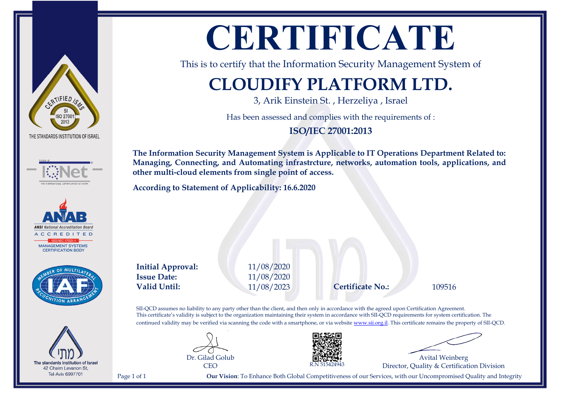







The standards Institution of Israel 42 Chaim Levanon St, **Tel-Aviv 6997701** 

# **CERTIFICATE**

This is to certify that the Information Security Management System of

### **CLOUDIFY PLATFORM LTD.**

3, Arik Einstein St. , Herzeliya , Israel

Has been assessed and complies with the requirements of :

**ISO/IEC 27001:2013**

**The Information Security Management System is Applicable to IT Operations Department Related to: Managing, Connecting, and Automating infrastrcture, networks, automation tools, applications, and other multi-cloud elements from single point of access.**

**According to Statement of Applicability: 16.6.2020**

**Initial Approval:** 11/08/2020 **Issue Date:** 11/08/2020 **Valid Until:** 11/08/2023 **Certificate No.:** 109516

SII-QCD assumes no liability to any party other than the client, and then only in accordance with the agreed upon Certification Agreement. This certificate's validity is subject to the organization maintaining their system in accordance with SII-QCD requirements for system certification. The continued validity may be verified via scanning the code with a smartphone, or via website [www.sii.org.il.](http://www.sii.org.il) This certificate remains the property of SII-QCD.





Avital Weinberg Director, Quality & Certification Division

Page 1 of 1 **Our Vision**: To Enhance Both Global Competitiveness of our Services, with our Uncompromised Quality and Integrity